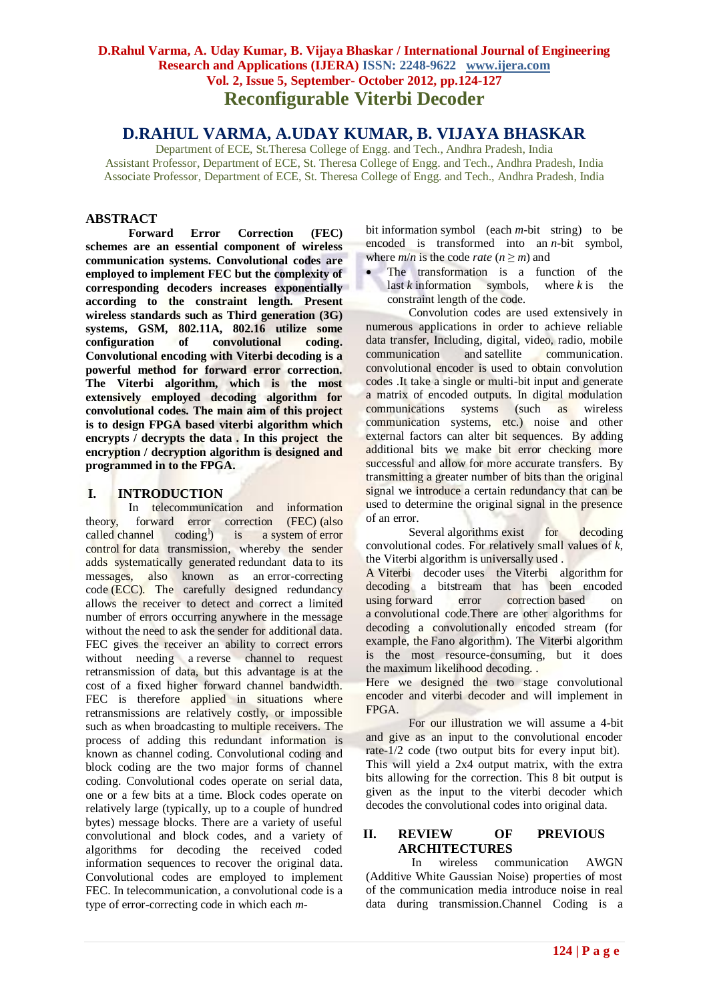# **D.Rahul Varma, A. Uday Kumar, B. Vijaya Bhaskar / International Journal of Engineering Research and Applications (IJERA) ISSN: 2248-9622 www.ijera.com Vol. 2, Issue 5, September- October 2012, pp.124-127 Reconfigurable Viterbi Decoder**

# **D.RAHUL VARMA, A.UDAY KUMAR, B. VIJAYA BHASKAR**

Department of ECE, St.Theresa College of Engg. and Tech., Andhra Pradesh, India Assistant Professor, Department of ECE, St. Theresa College of Engg. and Tech., Andhra Pradesh, India Associate Professor, Department of ECE, St. Theresa College of Engg. and Tech., Andhra Pradesh, India

### **ABSTRACT**

**Forward Error Correction (FEC) schemes are an essential component of wireless communication systems. Convolutional codes are employed to implement FEC but the complexity of corresponding decoders increases exponentially according to the constraint length. Present wireless standards such as Third generation (3G) systems, GSM, 802.11A, 802.16 utilize some configuration of convolutional coding. Convolutional encoding with Viterbi decoding is a powerful method for forward error correction. The Viterbi algorithm, which is the most extensively employed decoding algorithm for convolutional codes. The main aim of this project is to design FPGA based viterbi algorithm which encrypts / decrypts the data . In this project the encryption / decryption algorithm is designed and programmed in to the FPGA.**

### **I. INTRODUCTION**

In [telecommunication](http://en.wikipedia.org/wiki/Telecommunication) and [information](http://en.wikipedia.org/wiki/Information_theory)  [theory,](http://en.wikipedia.org/wiki/Information_theory) forward error correction (FEC) (also called channel codin[g](http://en.wikipedia.org/wiki/Forward_error_correction#cite_note-0)<sup>1</sup>) ) is a [system](http://en.wikipedia.org/wiki/System) of [error](http://en.wikipedia.org/wiki/Error_control)  [control](http://en.wikipedia.org/wiki/Error_control) for [data transmission,](http://en.wikipedia.org/wiki/Data_transmission) whereby the sender adds systematically generated [redundant data](http://en.wikipedia.org/wiki/Redundancy_(information_theory)) to its messages, also known as an error-correcting code (ECC). The carefully designed redundancy allows the receiver to detect and correct a limited number of errors occurring anywhere in the message without the need to ask the sender for additional data. FEC gives the receiver an ability to correct errors without needing a [reverse channel](http://en.wikipedia.org/wiki/Reverse_channel) to request retransmission of data, but this advantage is at the cost of a fixed higher forward channel bandwidth. FEC is therefore applied in situations where retransmissions are relatively costly, or impossible such as when broadcasting to multiple receivers. The process of adding this redundant information is known as channel coding. Convolutional coding and block coding are the two major forms of channel coding. Convolutional codes operate on serial data, one or a few bits at a time. Block codes operate on relatively large (typically, up to a couple of hundred bytes) message blocks. There are a variety of useful convolutional and block codes, and a variety of algorithms for decoding the received coded information sequences to recover the original data. Convolutional codes are employed to implement FEC. In [telecommunication,](http://en.wikipedia.org/wiki/Telecommunication) a convolutional code is a type of [error-correcting code](http://en.wikipedia.org/wiki/Error-correcting_code) in which each *m*- [bit](http://en.wikipedia.org/wiki/Bit) [information](http://en.wikipedia.org/wiki/Information) symbol (each *m*[-bit string\)](http://en.wikipedia.org/wiki/Binary_string) to be encoded is transformed into an *n*-bit symbol, where  $m/n$  is the code *rate*  $(n \ge m)$  and

• The transformation is a function of the last  $k$  information symbols, where  $k$  is the constraint length of the code.

Convolution codes are used extensively in numerous applications in order to achieve reliable data transfer, Including, digital, video, radio, mobile communication and [satellite communication.](http://en.wikipedia.org/wiki/Satellite_communication) convolutional encoder is used to obtain convolution codes .It take a single or multi-bit input and generate a matrix of encoded outputs. In digital modulation communications systems (such as wireless communication systems, etc.) noise and other external factors can alter bit sequences. By adding additional bits we make bit error checking more successful and allow for more accurate transfers. By transmitting a greater number of bits than the original signal we introduce a certain redundancy that can be used to determine the original signal in the presence of an error.

Several [algorithms](http://en.wikipedia.org/wiki/Algorithm) exist for decoding convolutional codes. For relatively small values of *k*, the [Viterbi algorithm](http://en.wikipedia.org/wiki/Viterbi_algorithm) is universally used .

A Viterbi decoder uses the [Viterbi algorithm](http://en.wikipedia.org/wiki/Viterbi_algorithm) for decoding a bitstream that has been encoded using [forward error correction](http://en.wikipedia.org/wiki/Forward_error_correction) based on a [convolutional code.](http://en.wikipedia.org/wiki/Convolutional_code)There are other algorithms for decoding a convolutionally encoded stream (for example, the [Fano algorithm\)](http://en.wikipedia.org/wiki/Robert_Fano). The Viterbi algorithm is the most resource-consuming, but it does the [maximum likelihood](http://en.wikipedia.org/wiki/Maximum_likelihood) decoding. .

Here we designed the two stage convolutional encoder and viterbi decoder and will implement in FPGA.

For our illustration we will assume a 4-bit and give as an input to the convolutional encoder rate-1/2 code (two output bits for every input bit). This will yield a 2x4 output matrix, with the extra bits allowing for the correction. This 8 bit output is given as the input to the viterbi decoder which decodes the convolutional codes into original data.

### **II. REVIEW OF PREVIOUS ARCHITECTURES**

In wireless communication AWGN (Additive White Gaussian Noise) properties of most of the communication media introduce noise in real data during transmission.Channel Coding is a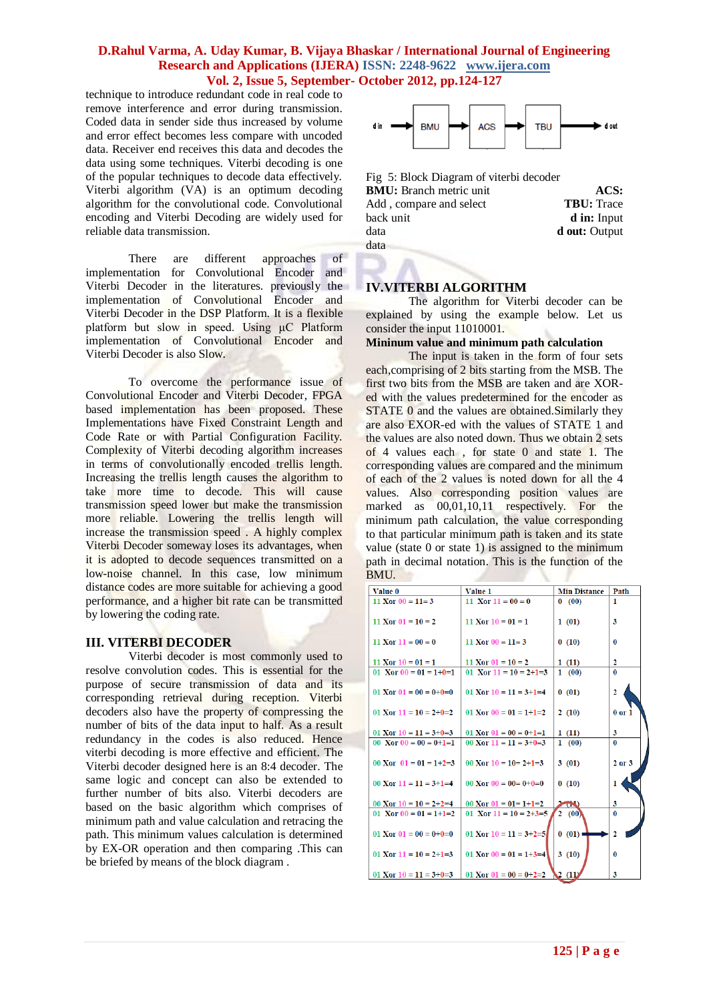### **D.Rahul Varma, A. Uday Kumar, B. Vijaya Bhaskar / International Journal of Engineering Research and Applications (IJERA) ISSN: 2248-9622 www.ijera.com Vol. 2, Issue 5, September- October 2012, pp.124-127**

technique to introduce redundant code in real code to remove interference and error during transmission. Coded data in sender side thus increased by volume and error effect becomes less compare with uncoded data. Receiver end receives this data and decodes the data using some techniques. Viterbi decoding is one of the popular techniques to decode data effectively. Viterbi algorithm (VA) is an optimum decoding algorithm for the convolutional code. Convolutional encoding and Viterbi Decoding are widely used for reliable data transmission.

There are different approaches of implementation for Convolutional Encoder and Viterbi Decoder in the literatures. previously the implementation of Convolutional Encoder and Viterbi Decoder in the DSP Platform. It is a flexible platform but slow in speed. Using μC Platform implementation of Convolutional Encoder and Viterbi Decoder is also Slow.

To overcome the performance issue of Convolutional Encoder and Viterbi Decoder, FPGA based implementation has been proposed. These Implementations have Fixed Constraint Length and Code Rate or with Partial Configuration Facility. Complexity of Viterbi decoding algorithm increases in terms of convolutionally encoded trellis length. Increasing the trellis length causes the algorithm to take more time to decode. This will cause transmission speed lower but make the transmission more reliable. Lowering the trellis length will increase the transmission speed . A highly complex Viterbi Decoder someway loses its advantages, when it is adopted to decode sequences transmitted on a low-noise channel. In this case, low minimum distance codes are more suitable for achieving a good performance, and a higher bit rate can be transmitted by lowering the coding rate.

#### **III. VITERBI DECODER**

Viterbi decoder is most commonly used to resolve convolution codes. This is essential for the purpose of secure transmission of data and its corresponding retrieval during reception. Viterbi decoders also have the property of compressing the number of bits of the data input to half. As a result redundancy in the codes is also reduced. Hence viterbi decoding is more effective and efficient. The Viterbi decoder designed here is an 8:4 decoder. The same logic and concept can also be extended to further number of bits also. Viterbi decoders are based on the basic algorithm which comprises of minimum path and value calculation and retracing the path. This minimum values calculation is determined by EX-OR operation and then comparing .This can be briefed by means of the block diagram .



Fig 5: Block Diagram of viterbi decoder **BMU:** Branch metric unit **ACS:** Add , compare and select **TBU:** Trace back unit **d in:** Input data **d** out: Output data

### **IV.VITERBI ALGORITHM**

The algorithm for Viterbi decoder can be explained by using the example below. Let us consider the input 11010001.

### **Mininum value and minimum path calculation**

The input is taken in the form of four sets each,comprising of 2 bits starting from the MSB. The first two bits from the MSB are taken and are XORed with the values predetermined for the encoder as STATE 0 and the values are obtained. Similarly they are also EXOR-ed with the values of STATE 1 and the values are also noted down. Thus we obtain 2 sets of 4 values each , for state 0 and state 1. The corresponding values are compared and the minimum of each of the 2 values is noted down for all the 4 values. Also corresponding position values are marked as 00,01,10,11 respectively. For the minimum path calculation, the value corresponding to that particular minimum path is taken and its state value (state 0 or state 1) is assigned to the minimum path in decimal notation. This is the function of the BMU.

| Value 0                  | Value 1                               | <b>Min Distance</b> | Path           |
|--------------------------|---------------------------------------|---------------------|----------------|
| $11$ Xor $00 = 11 = 3$   | 11 Xor $11 = 00 = 0$                  | 0(00)               | 1              |
| 11 Xor $01 = 10 = 2$     | 11 Xor $10 = 01 = 1$                  | 1(01)               | 3              |
| 11 Xor $11 = 00 = 0$     | 11 Xor $00 = 11 = 3$                  | 0(10)               | $\mathbf{0}$   |
| 11 Xor $10 = 01 = 1$     | 11 Xor $01 = 10 = 2$                  | 1(11)               | $\mathbf{2}$   |
| 01 Xor $00 = 01 = 1+0=1$ | 01 Xor $11 = 10 = 2+1=3$              | 1(00)               | $\mathbf{0}$   |
| 01 Xor $01 = 00 = 0+0=0$ | 01 Xor $10 = 11 = 3+1=4$              | 0(01)               | $\overline{2}$ |
| 01 Xor $11 = 10 = 2+0=2$ | 01 Xor $00 = 01 = 1+1=2$              | 2(10)               | $0$ or $1$     |
| 01 Xor $10 = 11 = 3+0=3$ | 01 Xor $01 = 00 = 0 + 1 = 1$          | 1(11)               | 3              |
| 00 Xor $00 = 00 = 0+1=1$ | 00 Xor $11 = 11 = 3+0=3$              | 1(00)               | $\mathbf{0}$   |
| 00 Xor $01 = 01 = 1+2=3$ | 00 Xor $10 = 10 = 2+1=3$              | 3(01)               | $2$ or $3$     |
| 00 Xor $11 = 11 = 3+1=4$ | $00 \text{ Xor } 00 = 00 = 0 + 0 = 0$ | 0(10)               | 1              |
| 00 Xor $10 = 10 = 2+2=4$ | 00 Xor $01 = 01 = 1+1=2$              | $\sim$              | 3              |
| 01 Xor $00 = 01 = 1+1=2$ | 01 Xor $11 = 10 = 2+3=5$              | 2(00)               | $\bf{0}$       |
| 01 Xor $01 = 00 = 0+0=0$ | 01 Xor $10 = 11 = 3+2=5$              | 0(01)               | $\overline{2}$ |
| 01 Xor $11 = 10 = 2+1=3$ | 01 Xor $00 = 01 = 1+3=4$              | 3(10)               | $\bf{0}$       |
| 01 Xor $10 = 11 = 3+0=3$ | 01 Xor $01 = 00 = 0 + 2 = 2$          | 2(11)               | 3              |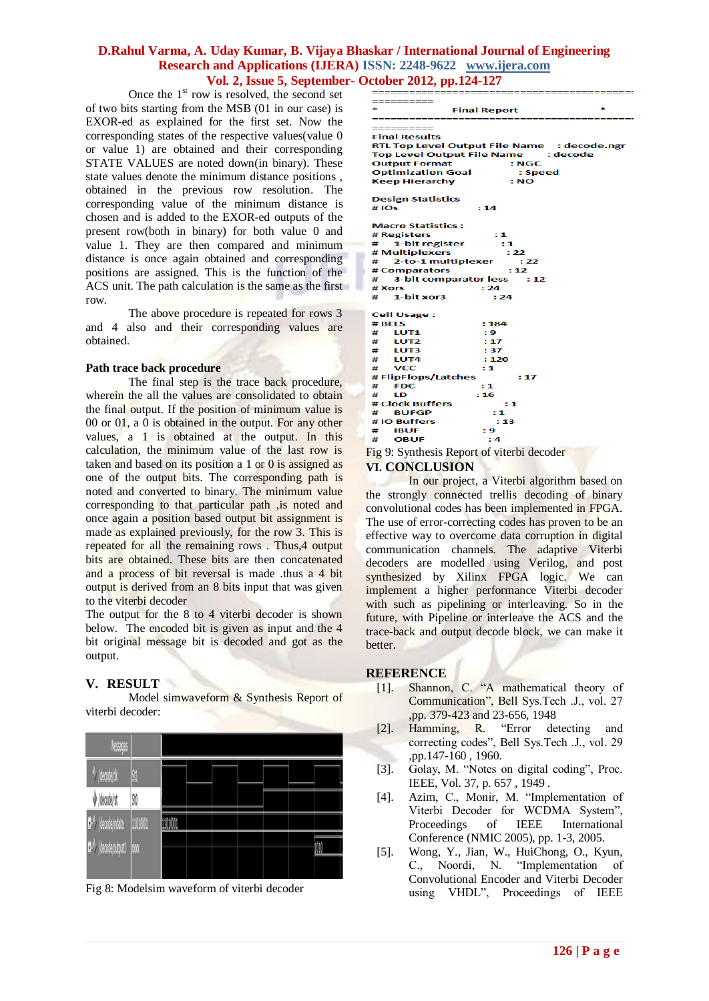### **D.Rahul Varma, A. Uday Kumar, B. Vijaya Bhaskar / International Journal of Engineering Research and Applications (IJERA) ISSN: 2248-9622 www.ijera.com Vol. 2, Issue 5, September- October 2012, pp.124-127**

Once the  $1<sup>st</sup>$  row is resolved, the second set of two bits starting from the MSB (01 in our case) is EXOR-ed as explained for the first set. Now the corresponding states of the respective values(value 0 or value 1) are obtained and their corresponding STATE VALUES are noted down(in binary). These state values denote the minimum distance positions , obtained in the previous row resolution. The corresponding value of the minimum distance is chosen and is added to the EXOR-ed outputs of the present row(both in binary) for both value 0 and value 1. They are then compared and minimum distance is once again obtained and corresponding positions are assigned. This is the function of the ACS unit. The path calculation is the same as the first row.

The above procedure is repeated for rows 3 and 4 also and their corresponding values are obtained.

#### **Path trace back procedure**

The final step is the trace back procedure, wherein the all the values are consolidated to obtain the final output. If the position of minimum value is 00 or 01, a 0 is obtained in the output. For any other values, a 1 is obtained at the output. In this calculation, the minimum value of the last row is taken and based on its position a 1 or 0 is assigned as one of the output bits. The corresponding path is noted and converted to binary. The minimum value corresponding to that particular path ,is noted and once again a position based output bit assignment is made as explained previously, for the row 3. This is repeated for all the remaining rows . Thus,4 output bits are obtained. These bits are then concatenated and a process of bit reversal is made .thus a 4 bit output is derived from an 8 bits input that was given to the viterbi decoder

The output for the 8 to 4 viterbi decoder is shown below. The encoded bit is given as input and the 4 bit original message bit is decoded and got as the output.

# **V. RESULT**

Model simwaveform & Synthesis Report of viterbi decoder:

| Vessiges             |         |  |  |  |   |
|----------------------|---------|--|--|--|---|
| (decode) clk         | S.      |  |  |  |   |
| decode/rst           | \$1     |  |  |  |   |
| Ţ.<br>/decode/indata | 1101001 |  |  |  |   |
| /decode/output1      | W       |  |  |  | ⋒ |
|                      |         |  |  |  |   |

Fig 8: Modelsim waveform of viterbi decoder

| ==========                      |                                                                                                   |  |  |  |  |
|---------------------------------|---------------------------------------------------------------------------------------------------|--|--|--|--|
| <b>Final Report</b>             |                                                                                                   |  |  |  |  |
| _______                         |                                                                                                   |  |  |  |  |
|                                 |                                                                                                   |  |  |  |  |
| <b>Final Results</b>            |                                                                                                   |  |  |  |  |
|                                 | RTL Top Level Output File Name : decode.ngr                                                       |  |  |  |  |
|                                 | Top Level Output File Name : decode                                                               |  |  |  |  |
| <b>Output Format</b><br>:NGC    |                                                                                                   |  |  |  |  |
| <b>Optimization Goal</b>        | : Speed                                                                                           |  |  |  |  |
| <b>Keep Hierarchy</b>           | : NO                                                                                              |  |  |  |  |
|                                 |                                                                                                   |  |  |  |  |
| <b>Design Statistics</b>        |                                                                                                   |  |  |  |  |
| #IOs                            | : 14                                                                                              |  |  |  |  |
|                                 |                                                                                                   |  |  |  |  |
| <b>Macro Statistics:</b>        |                                                                                                   |  |  |  |  |
| # Registers                     | :1                                                                                                |  |  |  |  |
| # 1-bit register                | $\pm 1$                                                                                           |  |  |  |  |
| # Multiplexers                  | : 22                                                                                              |  |  |  |  |
| # 2-to-1 multiplexer            | : 22                                                                                              |  |  |  |  |
| # Comparators<br>: 12           |                                                                                                   |  |  |  |  |
| # 3-bit comparator less<br>: 12 |                                                                                                   |  |  |  |  |
| # Xors                          | : 24                                                                                              |  |  |  |  |
| $\#$ 1-bit xor3                 | : 24                                                                                              |  |  |  |  |
|                                 |                                                                                                   |  |  |  |  |
| <b>Cell Usage:</b><br># BELS    | : 184                                                                                             |  |  |  |  |
|                                 | : 9                                                                                               |  |  |  |  |
| # LUT1<br>#<br>LUT2             | : 17                                                                                              |  |  |  |  |
| LUT3<br>#                       | : 37                                                                                              |  |  |  |  |
| $#$ LUT4                        | : 120                                                                                             |  |  |  |  |
| VCC<br>#                        | : 1                                                                                               |  |  |  |  |
| # FlipFlops/Latches<br>:17      |                                                                                                   |  |  |  |  |
| <b>FDC</b><br>#                 | : 1                                                                                               |  |  |  |  |
| #<br>ΙĐ                         | : 16                                                                                              |  |  |  |  |
| # Clock Buffers                 | : 1                                                                                               |  |  |  |  |
| <b>BUFGP</b><br>#               | : 1                                                                                               |  |  |  |  |
| # IO Buffers<br>: 13            |                                                                                                   |  |  |  |  |
| $#$ IBUF                        | : 9                                                                                               |  |  |  |  |
| # OBUF                          | : 4                                                                                               |  |  |  |  |
|                                 | $\mathbf{r}$ and $\mathbf{r}$ and $\mathbf{r}$ and $\mathbf{r}$ and $\mathbf{r}$ and $\mathbf{r}$ |  |  |  |  |

Fig 9: Synthesis Report of viterbi decoder **VI. CONCLUSION**

In our project, a Viterbi algorithm based on the strongly connected trellis decoding of binary convolutional codes has been implemented in FPGA. The use of error-correcting codes has proven to be an effective way to overcome data corruption in digital communication channels. The adaptive Viterbi decoders are modelled using Verilog, and post synthesized by Xilinx FPGA logic. We can implement a higher performance Viterbi decoder with such as pipelining or interleaving. So in the future, with Pipeline or interleave the ACS and the trace-back and output decode block, we can make it better.

# **REFERENCE**

- [1]. Shannon, C. "A mathematical theory of Communication", Bell Sys.Tech .J., vol. 27 ,pp. 379-423 and 23-656, 1948
- [2]. Hamming, R. "Error detecting and correcting codes", Bell Sys.Tech .J., vol. 29 ,pp.147-160 , 1960.
- [3]. Golay, M. "Notes on digital coding", Proc. IEEE, Vol. 37, p. 657 , 1949 .
- [4]. Azim, C., Monir, M. "Implementation of Viterbi Decoder for WCDMA System", Proceedings of IEEE International Conference (NMIC 2005), pp. 1-3, 2005.
- [5]. Wong, Y., Jian, W., HuiChong, O., Kyun, C., Noordi, N. "Implementation of Convolutional Encoder and Viterbi Decoder using VHDL", Proceedings of IEEE